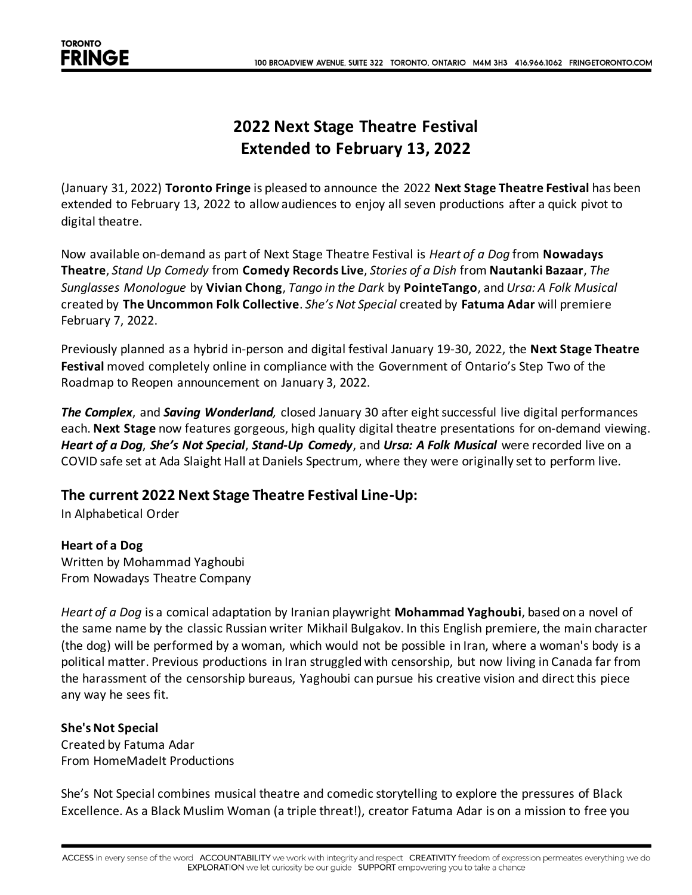# **2022 Next Stage Theatre Festival Extended to February 13, 2022**

(January 31, 2022) **Toronto Fringe** is pleased to announce the 2022 **Next Stage Theatre Festival** has been extended to February 13, 2022 to allow audiences to enjoy all seven productions after a quick pivot to digital theatre.

Now available on-demand as part of Next Stage Theatre Festival is *Heart of a Dog* from **Nowadays Theatre**, *Stand Up Comedy* from **Comedy Records Live**, *Stories of a Dish* from **Nautanki Bazaar**, *The Sunglasses Monologue* by **Vivian Chong**, *Tango in the Dark* by **PointeTango**, and *Ursa: A Folk Musical* created by **The Uncommon Folk Collective**. *She's Not Special* created by **Fatuma Adar** will premiere February 7, 2022.

Previously planned as a hybrid in-person and digital festival January 19-30, 2022, the **Next Stage Theatre Festival** moved completely online in compliance with the Government of Ontario's Step Two of the Roadmap to Reopen announcement on January 3, 2022.

*The Complex*, and *Saving Wonderland,* closed January 30 after eight successful live digital performances each. **Next Stage** now features gorgeous, high quality digital theatre presentations for on-demand viewing. *Heart of a Dog*, *She's Not Special*, *Stand-Up Comedy*, and *Ursa: A Folk Musical* were recorded live on a COVID safe set at Ada Slaight Hall at Daniels Spectrum, where they were originally set to perform live.

## **The current 2022 Next Stage Theatre Festival Line-Up:**

In Alphabetical Order

### **Heart of a Dog**

Written by Mohammad Yaghoubi From Nowadays Theatre Company

*Heart of a Dog* is a comical adaptation by Iranian playwright **Mohammad Yaghoubi**, based on a novel of the same name by the classic Russian writer Mikhail Bulgakov. In this English premiere, the main character (the dog) will be performed by a woman, which would not be possible in Iran, where a woman's body is a political matter. Previous productions in Iran struggled with censorship, but now living in Canada far from the harassment of the censorship bureaus, Yaghoubi can pursue his creative vision and direct this piece any way he sees fit.

#### **She's Not Special**

Created by Fatuma Adar From HomeMadeIt Productions

She's Not Special combines musical theatre and comedic storytelling to explore the pressures of Black Excellence. As a Black Muslim Woman (a triple threat!), creator Fatuma Adar is on a mission to free you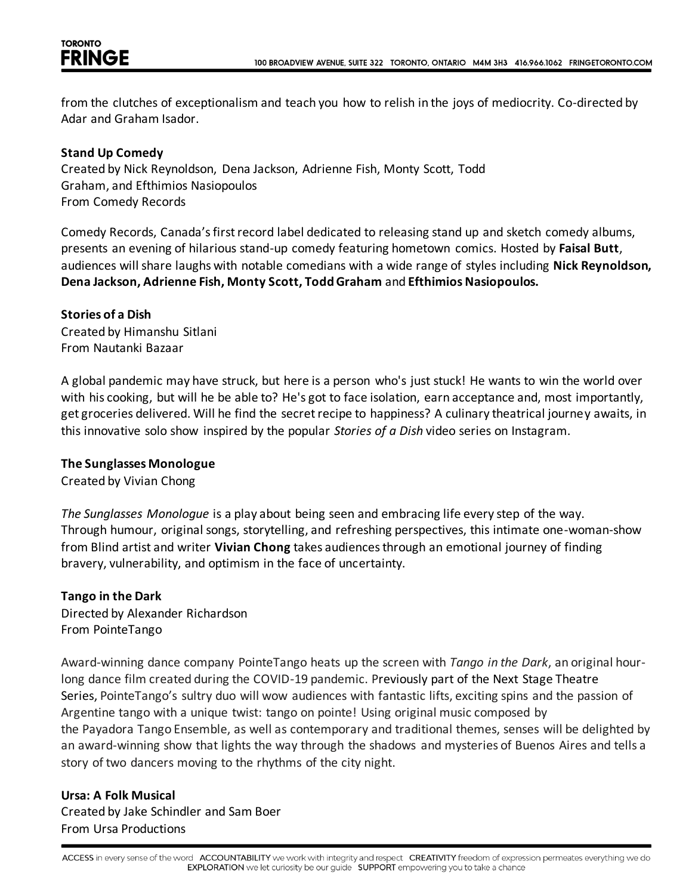from the clutches of exceptionalism and teach you how to relish in the joys of mediocrity. Co-directed by Adar and Graham Isador.

#### **Stand Up Comedy**

Created by Nick Reynoldson, Dena Jackson, Adrienne Fish, Monty Scott, Todd Graham, and Efthimios Nasiopoulos From Comedy Records

Comedy Records, Canada's first record label dedicated to releasing stand up and sketch comedy albums, presents an evening of hilarious stand-up comedy featuring hometown comics. Hosted by **Faisal Butt**, audiences will share laughs with notable comedians with a wide range of styles including **Nick Reynoldson, Dena Jackson, Adrienne Fish, Monty Scott, Todd Graham** and **Efthimios Nasiopoulos.**

#### **Stories of a Dish**

Created by Himanshu Sitlani From Nautanki Bazaar

A global pandemic may have struck, but here is a person who's just stuck! He wants to win the world over with his cooking, but will he be able to? He's got to face isolation, earn acceptance and, most importantly, get groceries delivered. Will he find the secret recipe to happiness? A culinary theatrical journey awaits, in this innovative solo show inspired by the popular *Stories of a Dish* video series on Instagram.

#### **The Sunglasses Monologue**

Created by Vivian Chong

*The Sunglasses Monologue* is a play about being seen and embracing life every step of the way. Through humour, original songs, storytelling, and refreshing perspectives, this intimate one-woman-show from Blind artist and writer **Vivian Chong** takes audiences through an emotional journey of finding bravery, vulnerability, and optimism in the face of uncertainty.

#### **Tango in the Dark**

Directed by Alexander Richardson From PointeTango

Award-winning dance company PointeTango heats up the screen with *Tango in the Dark*, an original hourlong dance film created during the COVID-19 pandemic. Previously part of the Next Stage Theatre Series, PointeTango's sultry duo will wow audiences with fantastic lifts, exciting spins and the passion of Argentine tango with a unique twist: tango on pointe! Using original music composed by the Payadora Tango Ensemble, as well as contemporary and traditional themes, senses will be delighted by an award-winning show that lights the way through the shadows and mysteries of Buenos Aires and tells a story of two dancers moving to the rhythms of the city night.

#### **Ursa: A Folk Musical**

Created by Jake Schindler and Sam Boer From Ursa Productions